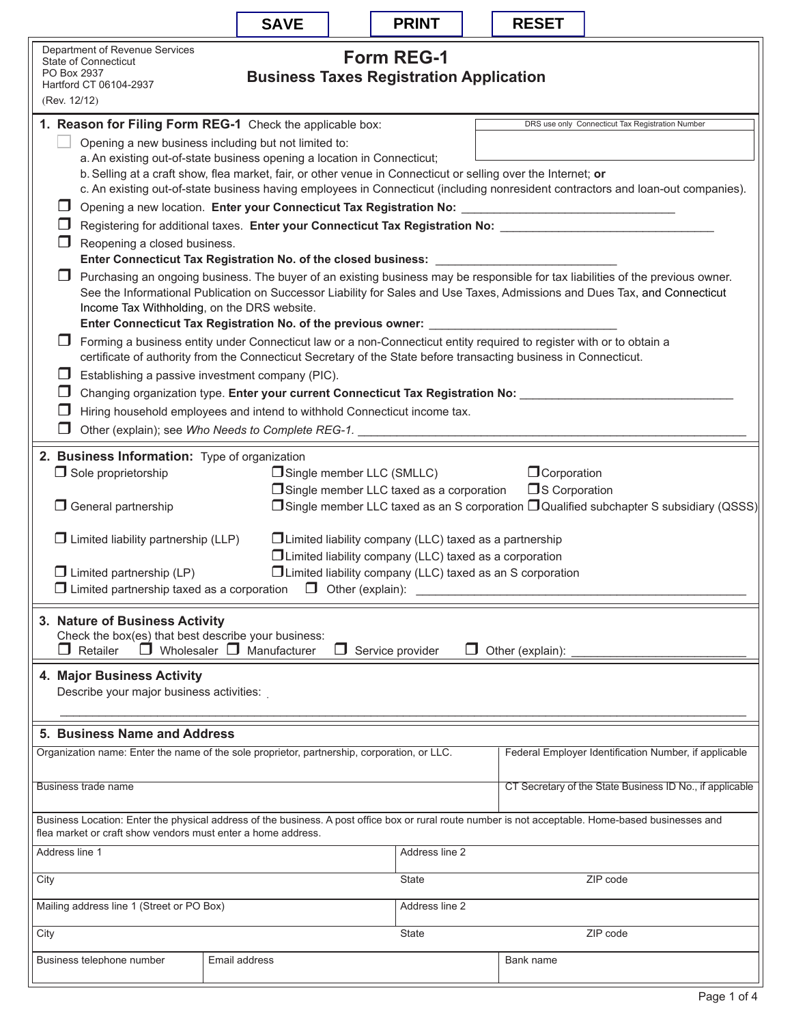|                                                                                                                                                                                                                                                                                                                                                                                                                                                                                                                                                                                                                                                                                                                                                                                                                                                                                                                                                                                                                                                                                                                                                                                                                                                                                                                                                                        | <b>SAVE</b> |  | <b>PRINT</b> |                | <b>RESET</b>                                             |                                                       |  |  |
|------------------------------------------------------------------------------------------------------------------------------------------------------------------------------------------------------------------------------------------------------------------------------------------------------------------------------------------------------------------------------------------------------------------------------------------------------------------------------------------------------------------------------------------------------------------------------------------------------------------------------------------------------------------------------------------------------------------------------------------------------------------------------------------------------------------------------------------------------------------------------------------------------------------------------------------------------------------------------------------------------------------------------------------------------------------------------------------------------------------------------------------------------------------------------------------------------------------------------------------------------------------------------------------------------------------------------------------------------------------------|-------------|--|--------------|----------------|----------------------------------------------------------|-------------------------------------------------------|--|--|
| Department of Revenue Services<br><b>Form REG-1</b><br><b>State of Connecticut</b><br>PO Box 2937<br><b>Business Taxes Registration Application</b><br>Hartford CT 06104-2937<br>(Rev. 12/12)                                                                                                                                                                                                                                                                                                                                                                                                                                                                                                                                                                                                                                                                                                                                                                                                                                                                                                                                                                                                                                                                                                                                                                          |             |  |              |                |                                                          |                                                       |  |  |
| 1. Reason for Filing Form REG-1 Check the applicable box:<br>DRS use only Connecticut Tax Registration Number<br>Opening a new business including but not limited to:<br>a. An existing out-of-state business opening a location in Connecticut;<br>b. Selling at a craft show, flea market, fair, or other venue in Connecticut or selling over the Internet; or<br>c. An existing out-of-state business having employees in Connecticut (including nonresident contractors and loan-out companies).<br>Opening a new location. Enter your Connecticut Tax Registration No: _______________________________<br>Registering for additional taxes. Enter your Connecticut Tax Registration No: Letter Management Connection Acc<br>Reopening a closed business.<br>Enter Connecticut Tax Registration No. of the closed business: _________________<br>Purchasing an ongoing business. The buyer of an existing business may be responsible for tax liabilities of the previous owner.<br>See the Informational Publication on Successor Liability for Sales and Use Taxes, Admissions and Dues Tax, and Connecticut<br>Income Tax Withholding, on the DRS website.<br>Enter Connecticut Tax Registration No. of the previous owner: _____<br>Forming a business entity under Connecticut law or a non-Connecticut entity required to register with or to obtain a<br>ப |             |  |              |                |                                                          |                                                       |  |  |
| certificate of authority from the Connecticut Secretary of the State before transacting business in Connecticut.<br>Establishing a passive investment company (PIC).<br>H<br>Changing organization type. Enter your current Connecticut Tax Registration No: _____<br>Hiring household employees and intend to withhold Connecticut income tax.<br>H<br>Other (explain); see Who Needs to Complete REG-1.                                                                                                                                                                                                                                                                                                                                                                                                                                                                                                                                                                                                                                                                                                                                                                                                                                                                                                                                                              |             |  |              |                |                                                          |                                                       |  |  |
| 2. Business Information: Type of organization<br>$\Box$ Sole proprietorship<br><b>O</b> Corporation<br>Single member LLC (SMLLC)<br>$\Box$ S Corporation<br>$\Box$ Single member LLC taxed as a corporation<br>□ Single member LLC taxed as an S corporation □ Qualified subchapter S subsidiary (QSSS)<br>$\Box$ General partnership<br>$\Box$ Limited liability partnership (LLP)<br>$\Box$ Limited liability company (LLC) taxed as a partnership<br>$\Box$ Limited liability company (LLC) taxed as a corporation<br>□ Limited liability company (LLC) taxed as an S corporation<br>$\Box$ Limited partnership (LP)                                                                                                                                                                                                                                                                                                                                                                                                                                                                                                                                                                                                                                                                                                                                                |             |  |              |                |                                                          |                                                       |  |  |
| $\Box$ Limited partnership taxed as a corporation $\Box$ Other (explain):<br>3. Nature of Business Activity<br>Check the box(es) that best describe your business:<br>$\Box$ Wholesaler $\Box$ Manufacturer<br>Retailer<br>П<br>Service provider<br>H<br>Other (explain):<br>ப                                                                                                                                                                                                                                                                                                                                                                                                                                                                                                                                                                                                                                                                                                                                                                                                                                                                                                                                                                                                                                                                                         |             |  |              |                |                                                          |                                                       |  |  |
| 4. Major Business Activity<br>Describe your major business activities:                                                                                                                                                                                                                                                                                                                                                                                                                                                                                                                                                                                                                                                                                                                                                                                                                                                                                                                                                                                                                                                                                                                                                                                                                                                                                                 |             |  |              |                |                                                          |                                                       |  |  |
| 5. Business Name and Address<br>Organization name: Enter the name of the sole proprietor, partnership, corporation, or LLC.                                                                                                                                                                                                                                                                                                                                                                                                                                                                                                                                                                                                                                                                                                                                                                                                                                                                                                                                                                                                                                                                                                                                                                                                                                            |             |  |              |                |                                                          | Federal Employer Identification Number, if applicable |  |  |
| Business trade name                                                                                                                                                                                                                                                                                                                                                                                                                                                                                                                                                                                                                                                                                                                                                                                                                                                                                                                                                                                                                                                                                                                                                                                                                                                                                                                                                    |             |  |              |                | CT Secretary of the State Business ID No., if applicable |                                                       |  |  |
| Business Location: Enter the physical address of the business. A post office box or rural route number is not acceptable. Home-based businesses and<br>flea market or craft show vendors must enter a home address.<br>Address line 1<br>Address line 2                                                                                                                                                                                                                                                                                                                                                                                                                                                                                                                                                                                                                                                                                                                                                                                                                                                                                                                                                                                                                                                                                                                |             |  |              |                |                                                          |                                                       |  |  |
| City                                                                                                                                                                                                                                                                                                                                                                                                                                                                                                                                                                                                                                                                                                                                                                                                                                                                                                                                                                                                                                                                                                                                                                                                                                                                                                                                                                   |             |  | State        | ZIP code       |                                                          |                                                       |  |  |
| Mailing address line 1 (Street or PO Box)                                                                                                                                                                                                                                                                                                                                                                                                                                                                                                                                                                                                                                                                                                                                                                                                                                                                                                                                                                                                                                                                                                                                                                                                                                                                                                                              |             |  |              | Address line 2 |                                                          |                                                       |  |  |
| City                                                                                                                                                                                                                                                                                                                                                                                                                                                                                                                                                                                                                                                                                                                                                                                                                                                                                                                                                                                                                                                                                                                                                                                                                                                                                                                                                                   |             |  | <b>State</b> |                | ZIP code                                                 |                                                       |  |  |
| Business telephone number<br>Email address                                                                                                                                                                                                                                                                                                                                                                                                                                                                                                                                                                                                                                                                                                                                                                                                                                                                                                                                                                                                                                                                                                                                                                                                                                                                                                                             |             |  |              |                | Bank name                                                |                                                       |  |  |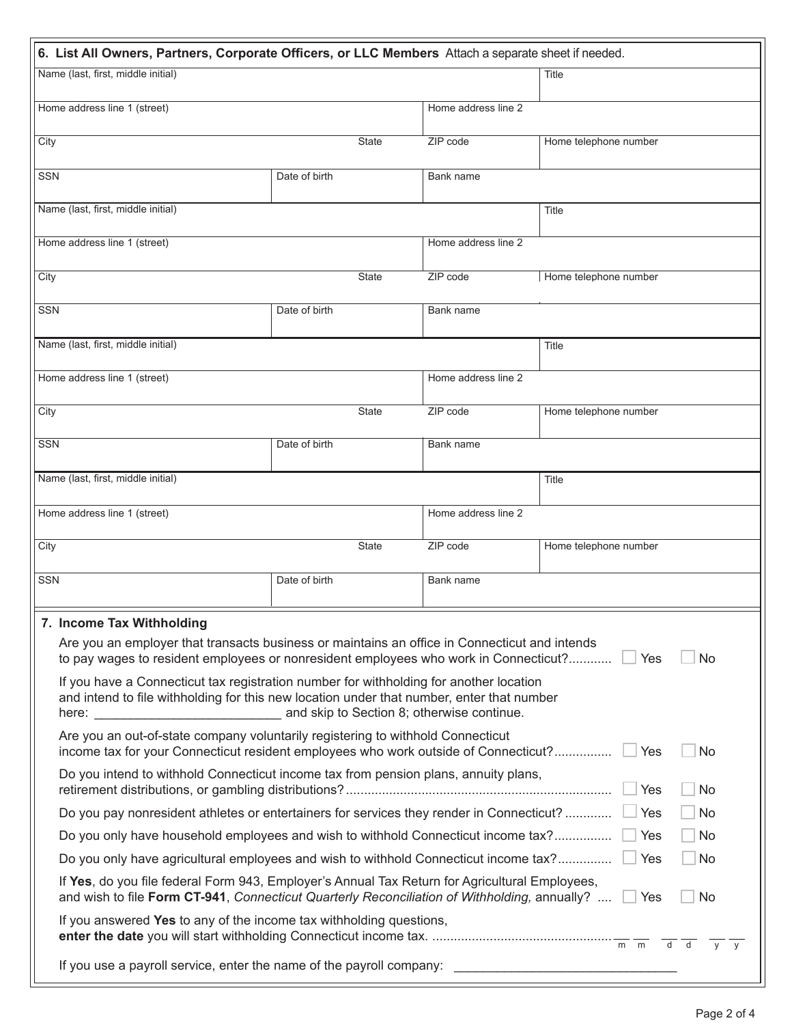| 6. List All Owners, Partners, Corporate Officers, or LLC Members Attach a separate sheet if needed.                                                                                                         |               |                     |                       |  |  |  |  |
|-------------------------------------------------------------------------------------------------------------------------------------------------------------------------------------------------------------|---------------|---------------------|-----------------------|--|--|--|--|
| Name (last, first, middle initial)                                                                                                                                                                          | Title         |                     |                       |  |  |  |  |
| Home address line 1 (street)                                                                                                                                                                                |               | Home address line 2 |                       |  |  |  |  |
| City                                                                                                                                                                                                        | <b>State</b>  | ZIP code            | Home telephone number |  |  |  |  |
| SSN                                                                                                                                                                                                         | Date of birth | Bank name           |                       |  |  |  |  |
| Name (last, first, middle initial)                                                                                                                                                                          |               |                     | Title                 |  |  |  |  |
| Home address line 1 (street)                                                                                                                                                                                |               | Home address line 2 |                       |  |  |  |  |
| City                                                                                                                                                                                                        | <b>State</b>  | ZIP code            | Home telephone number |  |  |  |  |
| SSN                                                                                                                                                                                                         | Date of birth | Bank name           |                       |  |  |  |  |
| Name (last, first, middle initial)                                                                                                                                                                          |               |                     | Title                 |  |  |  |  |
| Home address line 1 (street)                                                                                                                                                                                |               | Home address line 2 |                       |  |  |  |  |
| City                                                                                                                                                                                                        | <b>State</b>  | ZIP code            | Home telephone number |  |  |  |  |
| <b>SSN</b>                                                                                                                                                                                                  | Date of birth | Bank name           |                       |  |  |  |  |
| Name (last, first, middle initial)                                                                                                                                                                          |               |                     | Title                 |  |  |  |  |
| Home address line 1 (street)                                                                                                                                                                                |               | Home address line 2 |                       |  |  |  |  |
| City                                                                                                                                                                                                        | <b>State</b>  | ZIP code            | Home telephone number |  |  |  |  |
| SSN                                                                                                                                                                                                         | Date of birth | Bank name           |                       |  |  |  |  |
| 7. Income Tax Withholding                                                                                                                                                                                   |               |                     |                       |  |  |  |  |
| Are you an employer that transacts business or maintains an office in Connecticut and intends<br>to pay wages to resident employees or nonresident employees who work in Connecticut? [2] Yes<br><b>No</b>  |               |                     |                       |  |  |  |  |
| If you have a Connecticut tax registration number for withholding for another location<br>and intend to file withholding for this new location under that number, enter that number                         |               |                     |                       |  |  |  |  |
| Are you an out-of-state company voluntarily registering to withhold Connecticut<br>income tax for your Connecticut resident employees who work outside of Connecticut?   Yes<br>No                          |               |                     |                       |  |  |  |  |
| Do you intend to withhold Connecticut income tax from pension plans, annuity plans,<br>Yes<br>No                                                                                                            |               |                     |                       |  |  |  |  |
| Do you pay nonresident athletes or entertainers for services they render in Connecticut?<br>Yes<br>No                                                                                                       |               |                     |                       |  |  |  |  |
| Do you only have household employees and wish to withhold Connecticut income tax?<br>No<br>Yes                                                                                                              |               |                     |                       |  |  |  |  |
| Do you only have agricultural employees and wish to withhold Connecticut income tax?<br>Yes<br>No                                                                                                           |               |                     |                       |  |  |  |  |
| If Yes, do you file federal Form 943, Employer's Annual Tax Return for Agricultural Employees,<br>and wish to file Form CT-941, Connecticut Quarterly Reconciliation of Withholding, annually?<br>Yes<br>No |               |                     |                       |  |  |  |  |
| If you answered Yes to any of the income tax withholding questions,<br>$d$ d<br><b>V</b><br>V                                                                                                               |               |                     |                       |  |  |  |  |
| If you use a payroll service, enter the name of the payroll company:                                                                                                                                        |               |                     |                       |  |  |  |  |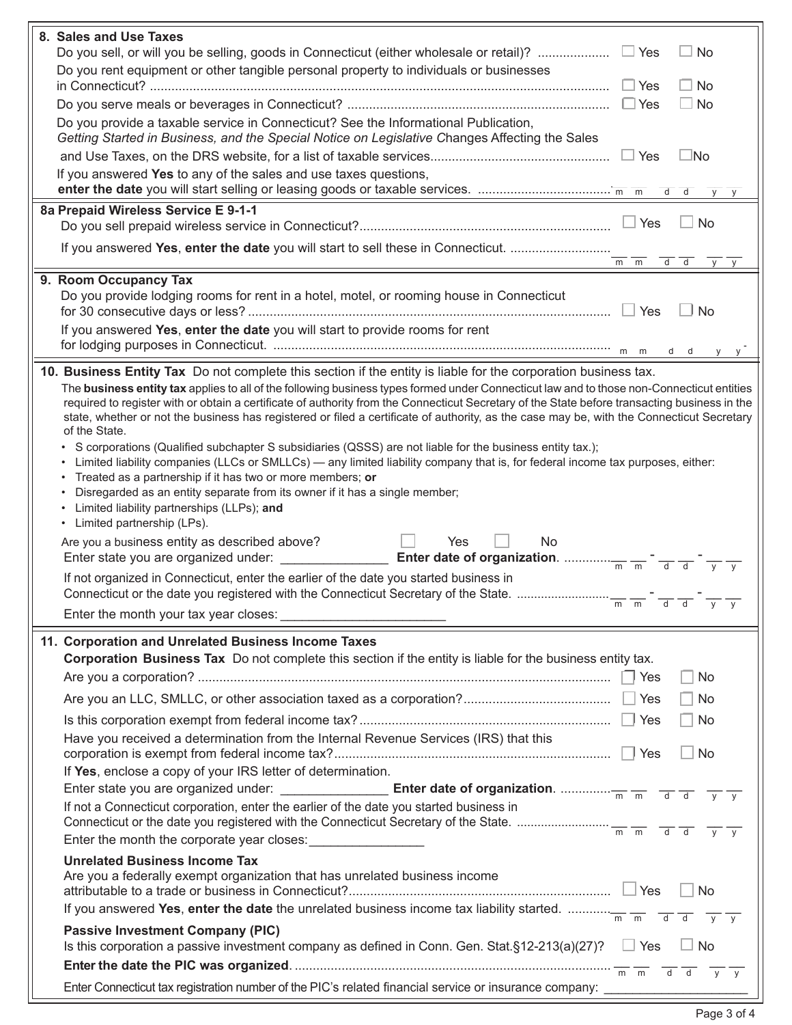| 8. Sales and Use Taxes<br>No.                                                                                                                                                                                                                                                                                                                                                                                                           |  |  |  |  |  |
|-----------------------------------------------------------------------------------------------------------------------------------------------------------------------------------------------------------------------------------------------------------------------------------------------------------------------------------------------------------------------------------------------------------------------------------------|--|--|--|--|--|
| Do you rent equipment or other tangible personal property to individuals or businesses                                                                                                                                                                                                                                                                                                                                                  |  |  |  |  |  |
| $\Box$ Yes<br><b>No</b>                                                                                                                                                                                                                                                                                                                                                                                                                 |  |  |  |  |  |
| $\Box$ No                                                                                                                                                                                                                                                                                                                                                                                                                               |  |  |  |  |  |
| Do you provide a taxable service in Connecticut? See the Informational Publication,<br>Getting Started in Business, and the Special Notice on Legislative Changes Affecting the Sales                                                                                                                                                                                                                                                   |  |  |  |  |  |
| $\Box$ Yes<br>⊥No                                                                                                                                                                                                                                                                                                                                                                                                                       |  |  |  |  |  |
| If you answered Yes to any of the sales and use taxes questions,<br>$d$ $d$                                                                                                                                                                                                                                                                                                                                                             |  |  |  |  |  |
| 8a Prepaid Wireless Service E 9-1-1                                                                                                                                                                                                                                                                                                                                                                                                     |  |  |  |  |  |
| Yes<br><b>No</b>                                                                                                                                                                                                                                                                                                                                                                                                                        |  |  |  |  |  |
| If you answered Yes, enter the date you will start to sell these in Connecticut.<br>m m<br>d d<br><b>V</b>                                                                                                                                                                                                                                                                                                                              |  |  |  |  |  |
| 9. Room Occupancy Tax                                                                                                                                                                                                                                                                                                                                                                                                                   |  |  |  |  |  |
| Do you provide lodging rooms for rent in a hotel, motel, or rooming house in Connecticut<br>Yes<br><b>No</b>                                                                                                                                                                                                                                                                                                                            |  |  |  |  |  |
| If you answered Yes, enter the date you will start to provide rooms for rent                                                                                                                                                                                                                                                                                                                                                            |  |  |  |  |  |
| m<br>m                                                                                                                                                                                                                                                                                                                                                                                                                                  |  |  |  |  |  |
| 10. Business Entity Tax Do not complete this section if the entity is liable for the corporation business tax.                                                                                                                                                                                                                                                                                                                          |  |  |  |  |  |
| The business entity tax applies to all of the following business types formed under Connecticut law and to those non-Connecticut entities<br>required to register with or obtain a certificate of authority from the Connecticut Secretary of the State before transacting business in the<br>state, whether or not the business has registered or filed a certificate of authority, as the case may be, with the Connecticut Secretary |  |  |  |  |  |
| of the State.<br>S corporations (Qualified subchapter S subsidiaries (QSSS) are not liable for the business entity tax.);                                                                                                                                                                                                                                                                                                               |  |  |  |  |  |
| Limited liability companies (LLCs or SMLLCs) — any limited liability company that is, for federal income tax purposes, either:                                                                                                                                                                                                                                                                                                          |  |  |  |  |  |
| Treated as a partnership if it has two or more members; or<br>Disregarded as an entity separate from its owner if it has a single member;                                                                                                                                                                                                                                                                                               |  |  |  |  |  |
| Limited liability partnerships (LLPs); and                                                                                                                                                                                                                                                                                                                                                                                              |  |  |  |  |  |
| • Limited partnership (LPs).                                                                                                                                                                                                                                                                                                                                                                                                            |  |  |  |  |  |
| Are you a business entity as described above?<br>Yes<br>N <sub>o</sub><br>Enter state you are organized under: ___                                                                                                                                                                                                                                                                                                                      |  |  |  |  |  |
| If not organized in Connecticut, enter the earlier of the date you started business in<br>Connecticut or the date you registered with the Connecticut Secretary of the State.                                                                                                                                                                                                                                                           |  |  |  |  |  |
| $\overline{m}$ $\overline{m}$                                                                                                                                                                                                                                                                                                                                                                                                           |  |  |  |  |  |
|                                                                                                                                                                                                                                                                                                                                                                                                                                         |  |  |  |  |  |
| 11. Corporation and Unrelated Business Income Taxes                                                                                                                                                                                                                                                                                                                                                                                     |  |  |  |  |  |
| Corporation Business Tax Do not complete this section if the entity is liable for the business entity tax.                                                                                                                                                                                                                                                                                                                              |  |  |  |  |  |
| <b>No</b><br>H                                                                                                                                                                                                                                                                                                                                                                                                                          |  |  |  |  |  |
| Yes<br><b>No</b>                                                                                                                                                                                                                                                                                                                                                                                                                        |  |  |  |  |  |
| Yes<br>$\vert$ $\vert$ No                                                                                                                                                                                                                                                                                                                                                                                                               |  |  |  |  |  |
| Have you received a determination from the Internal Revenue Services (IRS) that this<br>$\Box$ No                                                                                                                                                                                                                                                                                                                                       |  |  |  |  |  |
| If Yes, enclose a copy of your IRS letter of determination.                                                                                                                                                                                                                                                                                                                                                                             |  |  |  |  |  |
|                                                                                                                                                                                                                                                                                                                                                                                                                                         |  |  |  |  |  |
| If not a Connecticut corporation, enter the earlier of the date you started business in                                                                                                                                                                                                                                                                                                                                                 |  |  |  |  |  |
|                                                                                                                                                                                                                                                                                                                                                                                                                                         |  |  |  |  |  |
|                                                                                                                                                                                                                                                                                                                                                                                                                                         |  |  |  |  |  |
| <b>Unrelated Business Income Tax</b>                                                                                                                                                                                                                                                                                                                                                                                                    |  |  |  |  |  |
| Are you a federally exempt organization that has unrelated business income<br><b>No</b>                                                                                                                                                                                                                                                                                                                                                 |  |  |  |  |  |
|                                                                                                                                                                                                                                                                                                                                                                                                                                         |  |  |  |  |  |
|                                                                                                                                                                                                                                                                                                                                                                                                                                         |  |  |  |  |  |
| <b>Passive Investment Company (PIC)</b><br>Is this corporation a passive investment company as defined in Conn. Gen. Stat.§12-213(a)(27)? $\square$ Yes $\square$ No                                                                                                                                                                                                                                                                    |  |  |  |  |  |
|                                                                                                                                                                                                                                                                                                                                                                                                                                         |  |  |  |  |  |
|                                                                                                                                                                                                                                                                                                                                                                                                                                         |  |  |  |  |  |